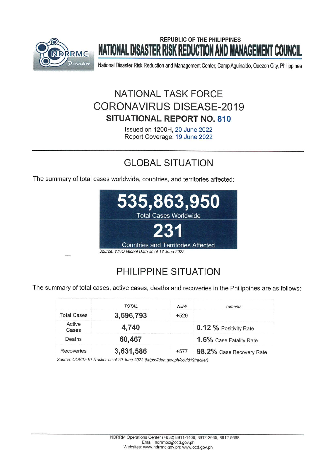

# **REPUBLIC OF THE PHILIPPINES** NATIONAL DISASTER RISK REDUCTION AND MANAGEMENT COUNCIL

National Disaster Risk Reduction and Management Center, Camp Aguinaldo, Quezon City, Philippines

# NATIONAL TASK FORCE **CORONAVIRUS DISFASE-2019 SITUATIONAL REPORT NO. 810**

Issued on 1200H, 20 June 2022 Report Coverage: 19 June 2022

# **GLOBAL SITUATION**

The summary of total cases worldwide, countries, and territories affected:



# PHILIPPINE SITUATION

The summary of total cases, active cases, deaths and recoveries in the Philippines are as follows:

|                    | <b>TOTAL</b> | <b>NFW</b> | remarks                  |
|--------------------|--------------|------------|--------------------------|
| <b>Total Cases</b> | 3,696,793    | $+529$     |                          |
| Active<br>Cases    | 4,740        |            | 0.12 % Positivity Rate   |
| Deaths             | 60,467       |            | 1.6% Case Fatality Rate  |
| Recoveries         | 3,631,586    | $+577$     | 98.2% Case Recovery Rate |

Source: COVID-19 Tracker as of 20 June 2022 (https://doh.gov.ph/covid19tracker)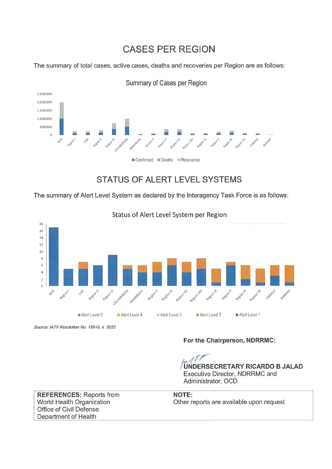# **CASES PER REGION**

The summary of total cases, active cases, deaths and recoveries per Region are as follows:



# STATUS OF ALERT LEVEL SYSTEMS

The summary of Alert Level System as declared by the Interagency Task Force is as follows:



Status of Alert Level System per Region

Source: IATF Resolution No. 168-G, s. 2022

### For the Chairperson, NDRRMC:

**UNDERSECRETARY RICARDO B JALAD** Executive Director, NDRRMC and Administrator, OCD

**REFERENCES: Reports from NOTE:** World Health Organization Other reports are available upon request Office of Civil Defense Department of Health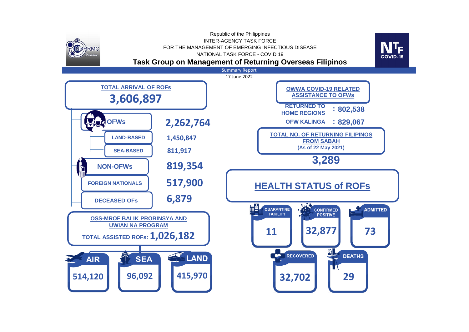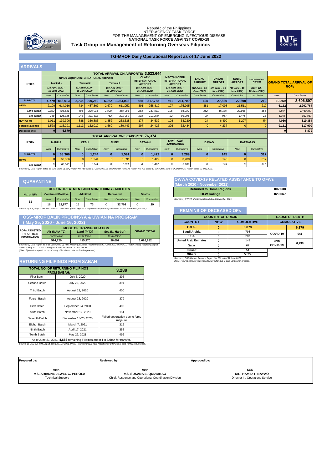

# **Task Group on Management of Returning Overseas Filipinos** Republic of the Philippines<br>INTER-AGENCY TASK FORCE<br>FOR THE MANAGEMENT OF EMERGING INFECTIOUS DISEASE<br>**NATIONAL TASK FORCE AGAINST COVID-19**



#### **TG-MROF Daily Operational Report as of 17 June 2022**

### **ARRIVALS**

|                          | <b>TOTAL ARRIVAL ON AIRPORTS: 3.523.644</b> |                                   |            |                                                         |              |                                  |              |                                                        |              |                                                              |                                    |                                    |                                    |                                        |            |                               |
|--------------------------|---------------------------------------------|-----------------------------------|------------|---------------------------------------------------------|--------------|----------------------------------|--------------|--------------------------------------------------------|--------------|--------------------------------------------------------------|------------------------------------|------------------------------------|------------------------------------|----------------------------------------|------------|-------------------------------|
| <b>ROFs</b>              |                                             | <b>Terminal 1</b>                 |            | NINOY AQUINO INTERNATIONAL AIRPORT<br><b>Terminal 2</b> |              | <b>Terminal 3</b>                |              | <b>CLARK</b><br><b>INTERNATIONAL</b><br><b>AIRPORT</b> |              | <b>MACTAN-CEBU</b><br><b>INTERNATIONAL</b><br><b>AIRPORT</b> | <b>LAOAG</b><br><b>AIRPORT</b>     | <b>DAVAO</b><br><b>AIRPORT</b>     | <b>SUBIC</b><br><b>AIRPORT</b>     | <b>BOHOL-PANGLAO</b><br><b>AIRPORT</b> |            | <b>GRAND TOTAL ARRIVAL OF</b> |
|                          |                                             | (23 April 2020 -<br>16 June 2022) |            | (23 April 2020 -<br>16 June 2022)                       |              | (08 July 2020 -<br>16 June 2022) |              | (05 June 2020 -<br>16 June 2022)                       |              | (28 June 2020 -<br>16 June 2022)                             | (18 June - 16<br><b>June 2022)</b> | (27 June - 16<br><b>June 2022)</b> | (18 June - 16<br><b>June 2022)</b> | (Nov. 18 -<br>16 June 2022)            |            | <b>ROFs</b>                   |
|                          | Now                                         | Cumulative                        | <b>Now</b> | Cumulative                                              | <b>Now</b>   | Cumulative                       | <b>Now</b>   | Cumulative                                             | <b>Now</b>   | Cumulative                                                   | Cumulative                         | Cumulative                         | Cumulative                         | Cumulative                             | <b>Now</b> | Cumulative                    |
| <b>SUBTOTAL</b>          | 4,779                                       | 868,613                           | 2,735      | 990,269                                                 | 6,082        | 1,034,033                        | 865          | 317,768                                                | 561          | 261,709                                                      | 405                                | 27,820                             | 22,808                             | 219                                    | 19,259     | 3,606,897                     |
| <b>OFWs</b>              | 2,190                                       | 614,016                           | 734        | 487,367                                                 | 2,670        | 611,052                          | 391          | 258,810                                                | 127          | 175,995                                                      | 381                                | 17,093                             | 21,511                             | 219                                    | 6,112      | 2,262,764                     |
| Land-based               | 2,022                                       | 488,631                           | 486        | 296,035                                                 | 1,908        | 389,983                          | 283          | 157,531                                                | 105          | 81,989                                                       | 352                                | 16,136                             | 20,036                             | 154                                    | 4,804      | 1,450,847                     |
| Sea-based                | 168                                         | 125,385                           | 248        | 191,332                                                 | 762          | 221,069                          | 108          | 101,279                                                | 22           | 94,006                                                       | 29                                 | 957                                | 1,475                              | 11                                     | 1,308      | 811,917                       |
| <b>NON-OFWS</b>          | 1,011                                       | 139,306                           | 888        | 350,883                                                 | 1,852        | 233,538                          | 177          | 34,532                                                 | 108          | 53,230                                                       | 24                                 | 6,490                              | 1,297                              | 54                                     | 4,036      | 819,354                       |
| <b>Foreign Nationals</b> | 1,578                                       | 115,291                           | 1,113      | 152,019                                                 | 1,560        | 189,443                          | 297          | 24,426                                                 | 326          | 32,484                                                       | $\Omega$                           | 4,237                              |                                    |                                        | 9,111      | 517,900                       |
| <b>Deceased OFs</b>      | 01                                          | 6,879                             |            |                                                         |              |                                  |              |                                                        |              |                                                              |                                    |                                    |                                    |                                        |            | 6,879                         |
|                          | <b>TOTAL ARRIVAL ON SEAPORTS: 76,374</b>    |                                   |            |                                                         |              |                                  |              |                                                        |              |                                                              |                                    |                                    |                                    |                                        |            |                               |
| <b>ROFs</b>              |                                             | <b>MANILA</b>                     |            | <b>CEBU</b>                                             |              | <b>SUBIC</b>                     |              | <b>BATAAN</b>                                          |              | <b>TAWI-TAWI/</b><br><b>ZAMBOANGA</b>                        |                                    | <b>DAVAO</b>                       |                                    | <b>BATANGAS</b>                        |            |                               |
|                          | <b>Now</b>                                  | Cumulative                        | <b>Now</b> | Cumulative                                              | <b>Now</b>   | Cumulative                       | <b>Now</b>   | Cumulative                                             | <b>Now</b>   | Cumulative                                                   | <b>Now</b>                         | Cumulative                         | <b>Now</b>                         | Cumulative                             |            |                               |
| <b>SUBTOTAL</b>          | 01                                          | 68,366                            | $\Omega$   | 1,244                                                   | $\mathbf{0}$ | 1,591                            | $\mathbf{0}$ | 1,422                                                  | $\mathbf{0}$ | 3,289                                                        | $\mathbf{0}$                       | 145                                | $\bf{0}$                           | 317                                    |            |                               |
| <b>OFWs</b>              |                                             | 68,366                            |            | 1,244                                                   |              | 1,591                            | $\Omega$     | 1,422                                                  |              | 3,289                                                        |                                    | 145                                |                                    | 317                                    |            |                               |
|                          |                                             |                                   |            |                                                         |              |                                  |              |                                                        |              |                                                              |                                    |                                    |                                    |                                        |            |                               |

Sea-based 0 68,366 0 1,244 0 1,591 0 1,222 0 3,289 0 1368 0 145 0 1597<br>Sources: 1) OSS Report dated 16 June 2022, 2) BOQ Report No. 758 dated 17 June 2022, 3) BOQ Human Remains Report No. 701 dated 17 June 2022, and 4) OCD

### **QUARANTINE**

| <b>ROFS IN TREATMENT AND MONITORING FACILITIES</b>                                                                                  |            |                           |                 |                   |            |            |     |               | <b>Returned to Home Regions</b> | 802.538                                                |         |
|-------------------------------------------------------------------------------------------------------------------------------------|------------|---------------------------|-----------------|-------------------|------------|------------|-----|---------------|---------------------------------|--------------------------------------------------------|---------|
| No. of QFs                                                                                                                          |            | <b>Confirmed Positive</b> | <b>Admitted</b> |                   |            | Recovered  |     | <b>Deaths</b> |                                 | <b>OFW Kalinga</b>                                     | 829.067 |
|                                                                                                                                     | <b>Now</b> | <b>Cumulative</b>         | <b>Now</b>      | <b>Cumulative</b> | <b>Now</b> | Cumulative | Now | Cumulative    |                                 | Source: 1) OWWA Monitoring Report dated November 2021. |         |
|                                                                                                                                     | 18         | 32.877                    |                 | 73                |            | 32.702     |     | 29            |                                 |                                                        |         |
| Source: 1) ROO Report No. 758 dated 17 June 2022. (Note: Eigures from previous reports may differ due to data verification process) |            |                           |                 |                   |            |            |     |               |                                 |                                                        |         |

| <b>MODE OF TRANSPORTATION</b>                          |  |
|--------------------------------------------------------|--|
| (May 25, 2020 - June 16, 2022)                         |  |
| <b>OSS-MROF BALIK PROBINSYA &amp; UWIAN NA PROGRAM</b> |  |

| <b>ROFS ASSISTED F</b><br>THRU THEIR | Air (NAIA T2) | Land (PITX) | Sea (N. Harbor) | <b>GRAND TOTAL</b> |
|--------------------------------------|---------------|-------------|-----------------|--------------------|
| <b>DESTINATION</b>                   | Cumulative    | Cumulative  | Cumulative      |                    |
|                                      |               |             |                 |                    |
|                                      | 514.120       | 415.970     | 96.092          | 1.026.182          |

### **RETURNING FILIPINOS FROM SABAH**

| <b>TOTAL NO. OF RETURNING FILIPINOS</b><br><b>FROM SABAH:</b> | 3,289                                                                           |                                            |  |  |  |  |  |  |
|---------------------------------------------------------------|---------------------------------------------------------------------------------|--------------------------------------------|--|--|--|--|--|--|
| <b>First Batch</b>                                            | July 5, 2020                                                                    | 395                                        |  |  |  |  |  |  |
| Second Batch                                                  | July 29, 2020                                                                   | 394                                        |  |  |  |  |  |  |
| <b>Third Batch</b>                                            | August 13, 2020                                                                 | 400                                        |  |  |  |  |  |  |
| Fourth Batch                                                  | August 28, 2020                                                                 | 379                                        |  |  |  |  |  |  |
| Fifth Batch                                                   | September 24, 2020                                                              | 400                                        |  |  |  |  |  |  |
| Sixth Batch                                                   | November 12, 2020                                                               | 151                                        |  |  |  |  |  |  |
| Seventh Batch                                                 | December 13-20, 2020                                                            | Failed deportation due to force<br>majeure |  |  |  |  |  |  |
| Eighth Batch                                                  | March 7, 2021                                                                   | 316                                        |  |  |  |  |  |  |
| Ninth Batch                                                   | April 17, 2021                                                                  | 358                                        |  |  |  |  |  |  |
| <b>Tenth Batch</b>                                            | May 22, 2021                                                                    | 496                                        |  |  |  |  |  |  |
|                                                               | As of June 21, 2021, 4,683 remaining Filipinos are still in Sabah for transfer. |                                            |  |  |  |  |  |  |

*Source: 1) OCD BARMM Report dated 22 May 2021. (Note: Figures from previous reports may differ due to data verification process.)*

### **OWWA COVID-19 RELATED ASSISTANCE TO OFWs**

| (March 2020 - November 2021)                                                     |         |  |  |  |  |
|----------------------------------------------------------------------------------|---------|--|--|--|--|
| <b>Returned to Home Regions</b>                                                  | 802.538 |  |  |  |  |
| <b>OFW Kalinga</b>                                                               | 829.067 |  |  |  |  |
| Correspondent Chaptain Advertised as Correct descriptions of the correction COOM |         |  |  |  |  |

|                                                                                                                                                                                                                 |                                                                                    |                                                        | Source: 1) BOQ Report No. 758 dated 17 June 2022. (Note: Figures from previous reports may differ due to data verification process.) |                          |              | <b>REMAINS OF DECEASED OFS</b> |            |       |                                        |            |       |
|-----------------------------------------------------------------------------------------------------------------------------------------------------------------------------------------------------------------|------------------------------------------------------------------------------------|--------------------------------------------------------|--------------------------------------------------------------------------------------------------------------------------------------|--------------------------|--------------|--------------------------------|------------|-------|----------------------------------------|------------|-------|
|                                                                                                                                                                                                                 |                                                                                    | <b>OSS-MROF BALIK PROBINSYA &amp; UWIAN NA PROGRAM</b> |                                                                                                                                      | <b>COUNTRY OF ORIGIN</b> |              | <b>CAUSE OF DEATH</b>          |            |       |                                        |            |       |
| (May 25, 2020 - June 16, 2022)                                                                                                                                                                                  |                                                                                    |                                                        |                                                                                                                                      |                          |              | <b>COUNTRY</b>                 | <b>NOW</b> |       | <b>CUMULATIVE</b><br><b>CUMULATIVE</b> |            |       |
|                                                                                                                                                                                                                 |                                                                                    | <b>MODE OF TRANSPORTATION</b>                          |                                                                                                                                      |                          |              | <b>TOTAL</b>                   | 0          | 6.879 |                                        |            | 6,879 |
| <b>ROFS ASSISTED</b><br>THRU THEIR                                                                                                                                                                              | Air (NAIA T2)                                                                      | Land (PITX)                                            | Sea (N. Harbor)                                                                                                                      | <b>GRAND TOTAL</b>       | Saudi Arabia |                                | 798        |       | COVID-19                               | 641        |       |
| <b>DESTINATION</b>                                                                                                                                                                                              | Cumulative                                                                         | Cumulative                                             | Cumulative                                                                                                                           |                          | <b>USA</b>   |                                | 287        |       |                                        |            |       |
|                                                                                                                                                                                                                 | 514.120                                                                            | 415.970                                                | 96.092                                                                                                                               | 1.026.182                |              | <b>United Arab Emirates</b>    | 0          | 149   |                                        | <b>NON</b> | 6.238 |
| Sources: 1) OSS Report as of 16 June 2022, 2) PITX Report (Uwian Na Program) dated 17 June 2022 and *DOTr (Hatid Tulong Program) Report<br>dated 14 May 2021. "Data starting from June 2 includes LSI and APOR. |                                                                                    |                                                        |                                                                                                                                      |                          |              | Qatar                          |            | 67    |                                        | COVID-19   |       |
|                                                                                                                                                                                                                 | (Note: Figures from previous reports may differ due to data verification process.) |                                                        | Kuwait                                                                                                                               |                          | 51           |                                |            |       |                                        |            |       |
|                                                                                                                                                                                                                 |                                                                                    |                                                        |                                                                                                                                      |                          |              | <b>Others</b>                  |            | 5.527 |                                        |            |       |

*Source: 1) BOQ Human Remains Report No. 701 dated 17 June 2022. (Note: Figures from previous reports may differ due to data verification process.)*

| Prepared by:                       | Reviewed by:                                          | Approved by:                     |
|------------------------------------|-------------------------------------------------------|----------------------------------|
| SGD                                | SGD                                                   | SGD                              |
| <b>MS. ARIANNE JEWEL G. PEROLA</b> | <b>MS. SUSANA E. QUIAMBAO</b>                         | DIR. HAMID T. BAYAO              |
| <b>Technical Support</b>           | Chief, Response and Operational Coordination Division | Director III, Operations Service |